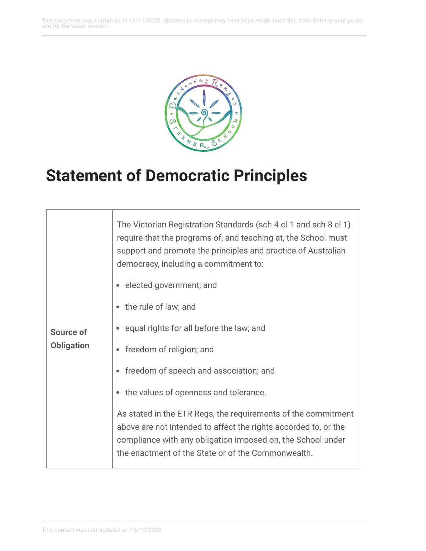This document was current as at 12/11/2020. Updates to content may have been made since this date. Refer to your policy site for the latest version.



## **Statement of Democratic Principles**

| Source of<br><b>Obligation</b> | The Victorian Registration Standards (sch 4 cl 1 and sch 8 cl 1)<br>require that the programs of, and teaching at, the School must<br>support and promote the principles and practice of Australian<br>democracy, including a commitment to:<br>elected government; and<br>the rule of law; and<br>equal rights for all before the law; and<br>freedom of religion; and<br>freedom of speech and association; and<br>the values of openness and tolerance.<br>As stated in the ETR Regs, the requirements of the commitment |
|--------------------------------|-----------------------------------------------------------------------------------------------------------------------------------------------------------------------------------------------------------------------------------------------------------------------------------------------------------------------------------------------------------------------------------------------------------------------------------------------------------------------------------------------------------------------------|
|                                | above are not intended to affect the rights accorded to, or the<br>compliance with any obligation imposed on, the School under<br>the enactment of the State or of the Commonwealth.                                                                                                                                                                                                                                                                                                                                        |